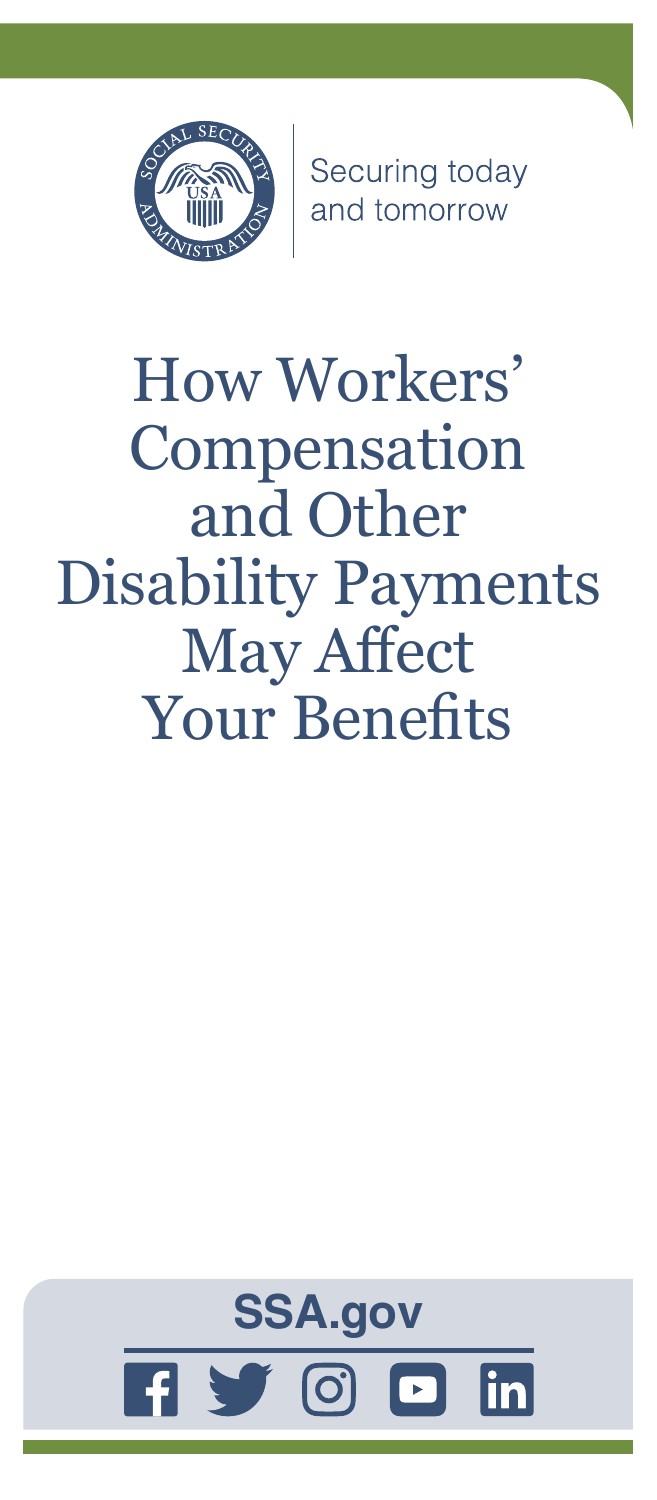

Securing today<br>and tomorrow

# How Workers' Compensation and Other Disability Payments May Affect Your Benefits

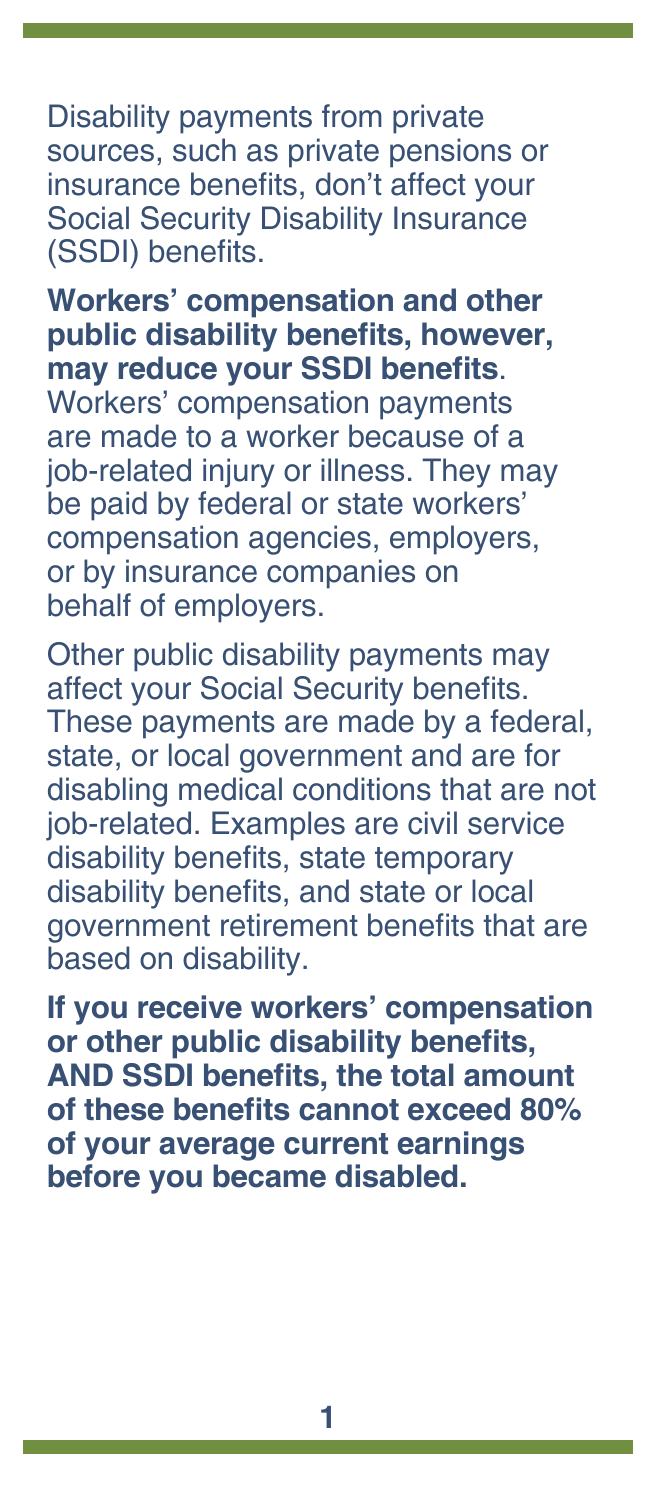Disability payments from private sources, such as private pensions or insurance benefits, don't affect your Social Security Disability Insurance (SSDI) benefits.

**Workers' compensation and other public disability benefits, however, may reduce your SSDI benefits**. Workers' compensation payments are made to a worker because of a job-related injury or illness. They may be paid by federal or state workers' compensation agencies, employers, or by insurance companies on behalf of employers.

Other public disability payments may affect your Social Security benefits. These payments are made by a federal, state, or local government and are for disabling medical conditions that are not job-related. Examples are civil service disability benefits, state temporary disability benefits, and state or local government retirement benefits that are based on disability.

**If you receive workers' compensation or other public disability benefits, AND SSDI benefits, the total amount of these benefits cannot exceed 80% of your average current earnings before you became disabled.**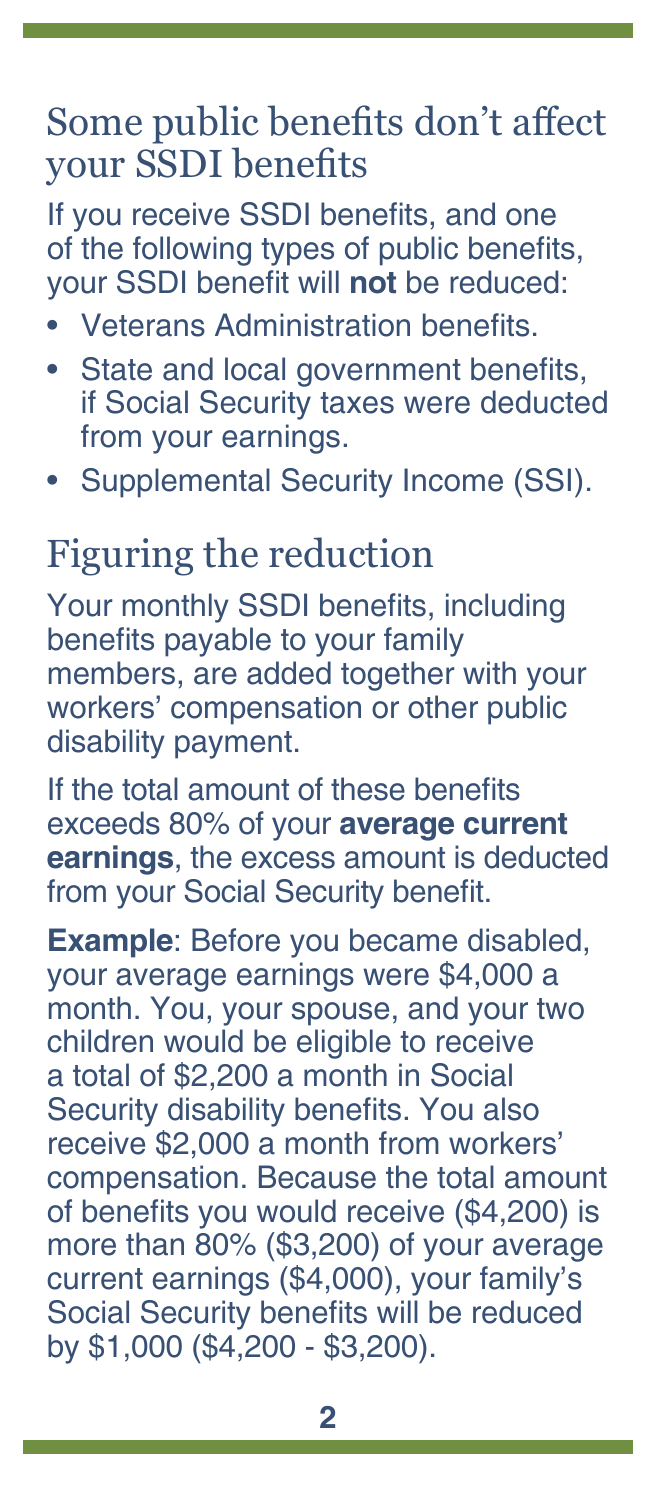#### Some public benefits don't affect your SSDI benefits

If you receive SSDI benefits, and one of the following types of public benefits, your SSDI benefit will **not** be reduced:

- Veterans Administration benefits.
- State and local government benefits, if Social Security taxes were deducted from your earnings.
- Supplemental Security Income (SSI).

## Figuring the reduction

Your monthly SSDI benefits, including benefits payable to your family members, are added together with your workers' compensation or other public disability payment.

If the total amount of these benefits exceeds 80% of your **average current earnings**, the excess amount is deducted from your Social Security benefit.

**Example**: Before you became disabled, your average earnings were \$4,000 a month. You, your spouse, and your two children would be eligible to receive a total of \$2,200 a month in Social Security disability benefits. You also receive \$2,000 a month from workers' compensation. Because the total amount of benefits you would receive (\$4,200) is more than 80% (\$3,200) of your average current earnings (\$4,000), your family's Social Security benefits will be reduced by \$1,000 (\$4,200 - \$3,200).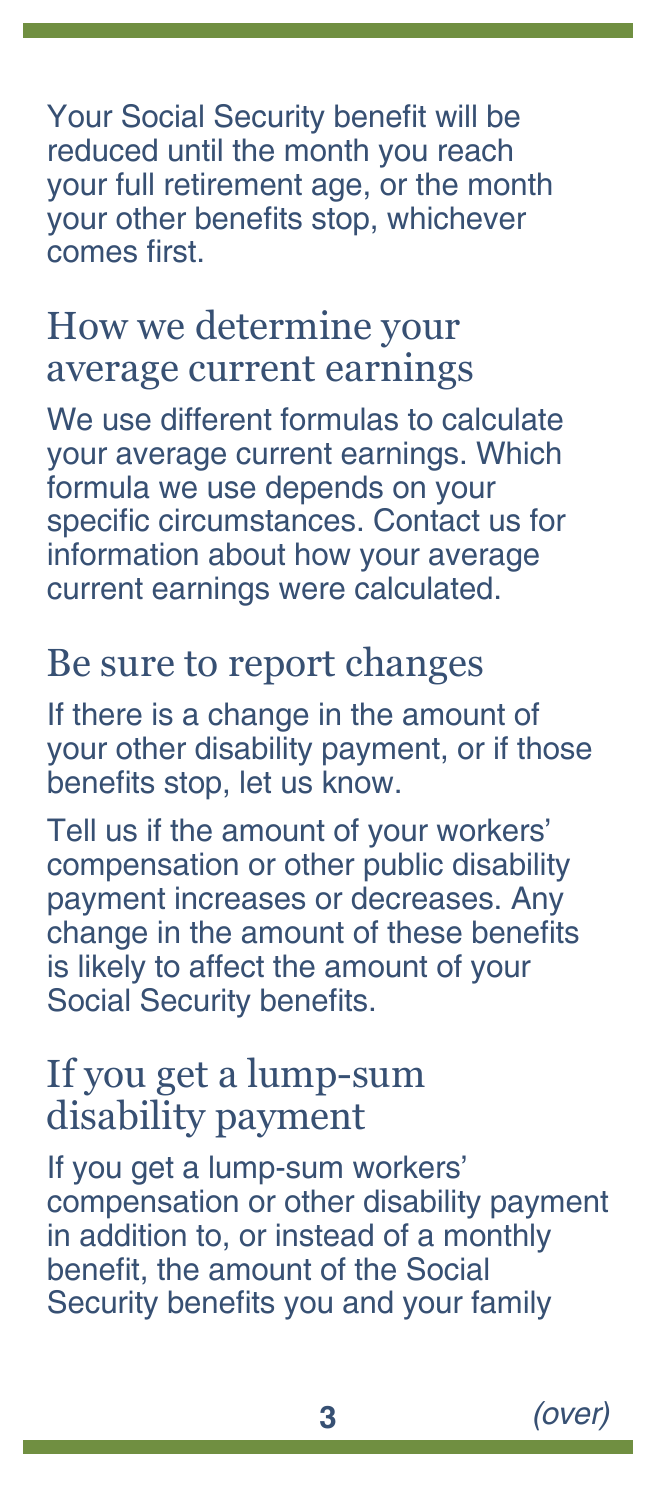Your Social Security benefit will be reduced until the month you reach your full retirement age, or the month your other benefits stop, whichever comes first.

#### How we determine your average current earnings

We use different formulas to calculate your average current earnings. Which formula we use depends on your specific circumstances. Contact us for information about how your average current earnings were calculated.

#### Be sure to report changes

If there is a change in the amount of your other disability payment, or if those benefits stop, let us know.

Tell us if the amount of your workers' compensation or other public disability payment increases or decreases. Any change in the amount of these benefits is likely to affect the amount of your Social Security benefits.

#### If you get a lump-sum disability payment

If you get a lump-sum workers' compensation or other disability payment in addition to, or instead of a monthly benefit, the amount of the Social Security benefits you and your family

**3** *(over)*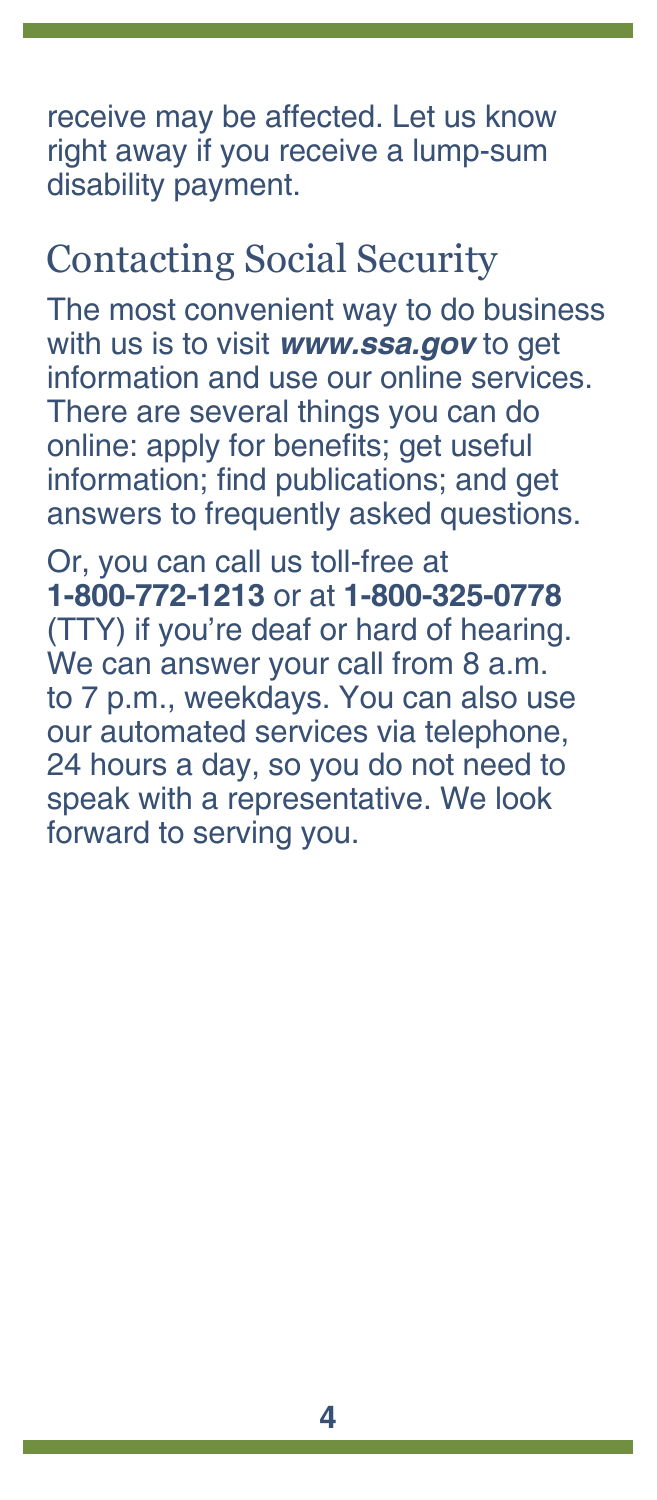receive may be affected. Let us know right away if you receive a lump-sum disability payment.

### Contacting Social Security

The most convenient way to do business with us is to visit *[www.ssa.gov](https://www.ssa.gov)* to get information and use our online services. There are several things you can do online: apply for benefits; get useful information; find [publications](https://www.ssa.gov/pubs/); and get answers to [frequently asked questions.](https://faq.ssa.gov/)

Or, you can call us toll-free at **1-800-772-1213** or at **1-800-325-0778** (TTY) if you're deaf or hard of hearing. We can answer your call from 8 a.m. to 7 p.m., weekdays. You can also use our automated services via telephone, 24 hours a day, so you do not need to speak with a representative. We look forward to serving you.